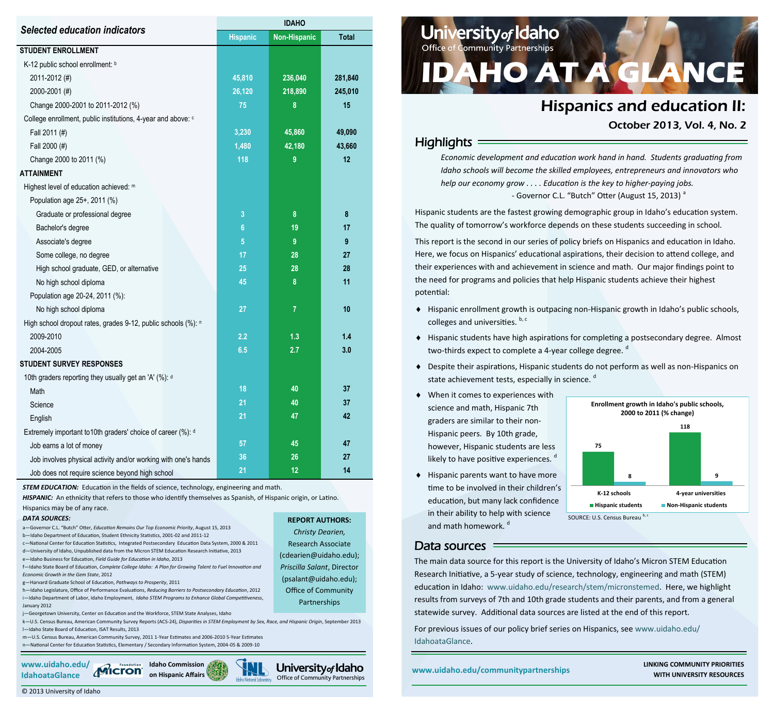| <b>Selected education indicators</b>                           | <b>IDAHO</b>    |                     |              |  |  |  |
|----------------------------------------------------------------|-----------------|---------------------|--------------|--|--|--|
|                                                                | <b>Hispanic</b> | <b>Non-Hispanic</b> | <b>Total</b> |  |  |  |
| <b>STUDENT ENROLLMENT</b>                                      |                 |                     |              |  |  |  |
| K-12 public school enrollment: b                               |                 |                     |              |  |  |  |
| 2011-2012 (#)                                                  | 45,810          | 236,040             | 281,840      |  |  |  |
| 2000-2001 (#)                                                  | 26,120          | 218,890             | 245,010      |  |  |  |
| Change 2000-2001 to 2011-2012 (%)                              | 75              | 8                   | 15           |  |  |  |
| College enrollment, public institutions, 4-year and above: c   |                 |                     |              |  |  |  |
| Fall 2011 (#)                                                  | 3,230           | 45,860              | 49,090       |  |  |  |
| Fall 2000 (#)                                                  | 1,480           | 42,180              | 43,660       |  |  |  |
| Change 2000 to 2011 (%)                                        | 118             | 9                   | 12           |  |  |  |
| <b>ATTAINMENT</b>                                              |                 |                     |              |  |  |  |
| Highest level of education achieved: m                         |                 |                     |              |  |  |  |
| Population age 25+, 2011 (%)                                   |                 |                     |              |  |  |  |
| Graduate or professional degree                                | 3               | 8                   | 8            |  |  |  |
| Bachelor's degree                                              | $6\phantom{a}$  | 19                  | 17           |  |  |  |
| Associate's degree                                             | 5               | 9                   | 9            |  |  |  |
| Some college, no degree                                        | 17              | 28                  | 27           |  |  |  |
| High school graduate, GED, or alternative                      | 25              | 28                  | 28           |  |  |  |
| No high school diploma                                         | 45              | 8                   | 11           |  |  |  |
| Population age 20-24, 2011 (%):                                |                 |                     |              |  |  |  |
| No high school diploma                                         | 27              | $\overline{7}$      | 10           |  |  |  |
| High school dropout rates, grades 9-12, public schools (%): n  |                 |                     |              |  |  |  |
| 2009-2010                                                      | 2.2             | 1.3                 | 1.4          |  |  |  |
| 2004-2005                                                      | 6.5             | 2.7                 | 3.0          |  |  |  |
| <b>STUDENT SURVEY RESPONSES</b>                                |                 |                     |              |  |  |  |
| 10th graders reporting they usually get an 'A' (%): d          |                 |                     |              |  |  |  |
| Math                                                           | 18              | 40                  | 37           |  |  |  |
| Science                                                        | 21              | 40                  | 37           |  |  |  |
| English                                                        | 21              | 47                  | 42           |  |  |  |
| Extremely important to 10th graders' choice of career (%): d   |                 |                     |              |  |  |  |
| Job earns a lot of money                                       | 57              | 45                  | 47           |  |  |  |
| Job involves physical activity and/or working with one's hands | 36              | 26                  | 27           |  |  |  |
| Job does not require science beyond high school                | 21              | 12                  | 14           |  |  |  |

**STEM EDUCATION:** Education in the fields of science, technology, engineering and math.

*HISPANIC:* An ethnicity that refers to those who identify themselves as Spanish, of Hispanic origin, or Latino.

Hispanics may be of any race.

#### *DATA SOURCES:*

a—Governor C.L. "Butch" Otter, *Education Remains Our Top Economic Priority*, August 15, 2013 b—Idaho Department of Education, Student Ethnicity Statistics, 2001-02 and 2011-12 c—National Center for Education Statistics, Integrated Postsecondary Education Data System, 2000 & 2011 d—University of Idaho, Unpublished data from the Micron STEM Education Research Initiative, 2013 e—Idaho Business for Education, *Field Guide for Education in Idaho*, 2013

f—Idaho State Board of Education, *Complete College Idaho: A Plan for Growing Talent to Fuel Innovation and Economic Growth in the Gem State*, 2012

g—Harvard Graduate School of Education, *Pathways to Prosperity*, 2011

h—Idaho Legislature, Office of Performance Evaluations, *Reducing Barriers to Postsecondary Education*, 2012 i—Idaho Department of Labor, Idaho Employment, *Idaho STEM Programs to Enhance Global Competitiveness*, January 2012

j—Georgetown University, Center on Education and the Workforce, STEM State Analyses, Idaho

k—U.S. Census Bureau, American Community Survey Reports (ACS-24), *Disparities in STEM Employment by Sex, Race, and Hispanic Origin*, September 2013 l—Idaho State Board of Education, ISAT Results, 2013

m—U.S. Census Bureau, American Community Survey, 2011 1-Year Estimates and 2006-2010 5-Year Estimates n—National Center for Education Statistics, Elementary / Secondary Information System, 2004-05 & 2009-10





**REPORT AUTHORS:**  *Christy Dearien,* Research Associate (cdearien@uidaho.edu); *Priscilla Salant*, Director (psalant@uidaho.edu); Office of Community Partnerships

# **University of Idaho DAHO AT A GLA**

# Hispanics and education II:

October 2013, Vol. 4, No. 2

# **Highlights**

*Economic development and education work hand in hand. Students graduating from Idaho schools will become the skilled employees, entrepreneurs and innovators who help our economy grow . . . . Education is the key to higher-paying jobs.* - Governor C.L. "Butch" Otter (August 15, 2013)<sup>a</sup>

Hispanic students are the fastest growing demographic group in Idaho's education system. The quality of tomorrow's workforce depends on these students succeeding in school.

This report is the second in our series of policy briefs on Hispanics and education in Idaho. Here, we focus on Hispanics' educational aspirations, their decision to attend college, and their experiences with and achievement in science and math. Our major findings point to the need for programs and policies that help Hispanic students achieve their highest potential:

- Hispanic enrollment growth is outpacing non-Hispanic growth in Idaho's public schools, colleges and universities. b, c
- Hispanic students have high aspirations for completing a postsecondary degree. Almost two-thirds expect to complete a 4-year college degree.<sup>d</sup>
- Despite their aspirations, Hispanic students do not perform as well as non-Hispanics on state achievement tests, especially in science. d
- When it comes to experiences with science and math, Hispanic 7th graders are similar to their non-Hispanic peers. By 10th grade, however, Hispanic students are less likely to have positive experiences. d
- $\blacklozenge$  Hispanic parents want to have more time to be involved in their children's education, but many lack confidence in their ability to help with science and math homework.<sup>d</sup>



### Data sources

The main data source for this report is the University of Idaho's Micron STEM Education Research Initiative, a 5-year study of science, technology, engineering and math (STEM) education in Idaho: www.uidaho.edu/research/stem/micronstemed. Here, we highlight results from surveys of 7th and 10th grade students and their parents, and from a general statewide survey. Additional data sources are listed at the end of this report.

For previous issues of our policy brief series on Hispanics, see www.uidaho.edu/ IdahoataGlance.

**on Hispanic Affairs Community PRIORITIES**<br> **on Hispanic Affairs WITH UNIVERSITY RESOURCES**<br>
WITH UNIVERSITY RESOURCES **WITH UNIVERSITY RESOURCES**